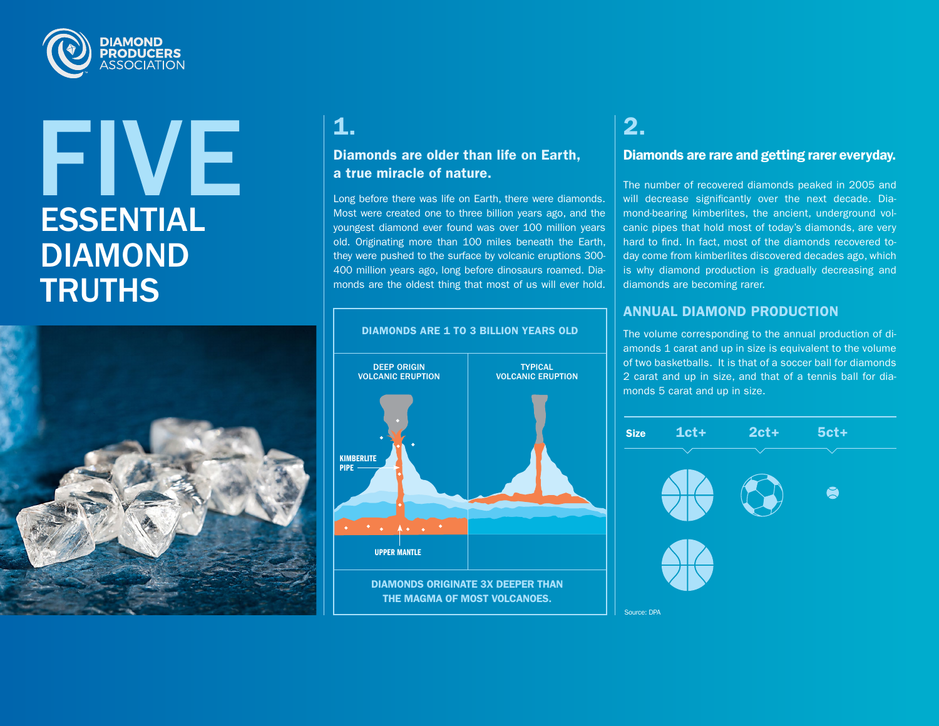

# ESSENTIAL DIAMOND **TRUTHS** FIVE  $1$



### Diamonds are older than life on Earth, a true miracle of nature.

Long before there was life on Earth, there were diamonds. Most were created one to three billion years ago, and the youngest diamond ever found was over 100 million years old. Originating more than 100 miles beneath the Earth, they were pushed to the surface by volcanic eruptions 300- 400 million years ago, long before dinosaurs roamed. Diamonds are the oldest thing that most of us will ever hold.



### 2.

#### Diamonds are rare and getting rarer everyday.

The number of recovered diamonds peaked in 2005 and will decrease significantly over the next decade. Diamond-bearing kimberlites, the ancient, underground volcanic pipes that hold most of today's diamonds, are very hard to find. In fact, most of the diamonds recovered today come from kimberlites discovered decades ago, which is why diamond production is gradually decreasing and diamonds are becoming rarer.

### ANNUAL DIAMOND PRODUCTION

The volume corresponding to the annual production of diamonds 1 carat and up in size is equivalent to the volume of two basketballs. It is that of a soccer ball for diamonds 2 carat and up in size, and that of a tennis ball for diamonds 5 carat and up in size.